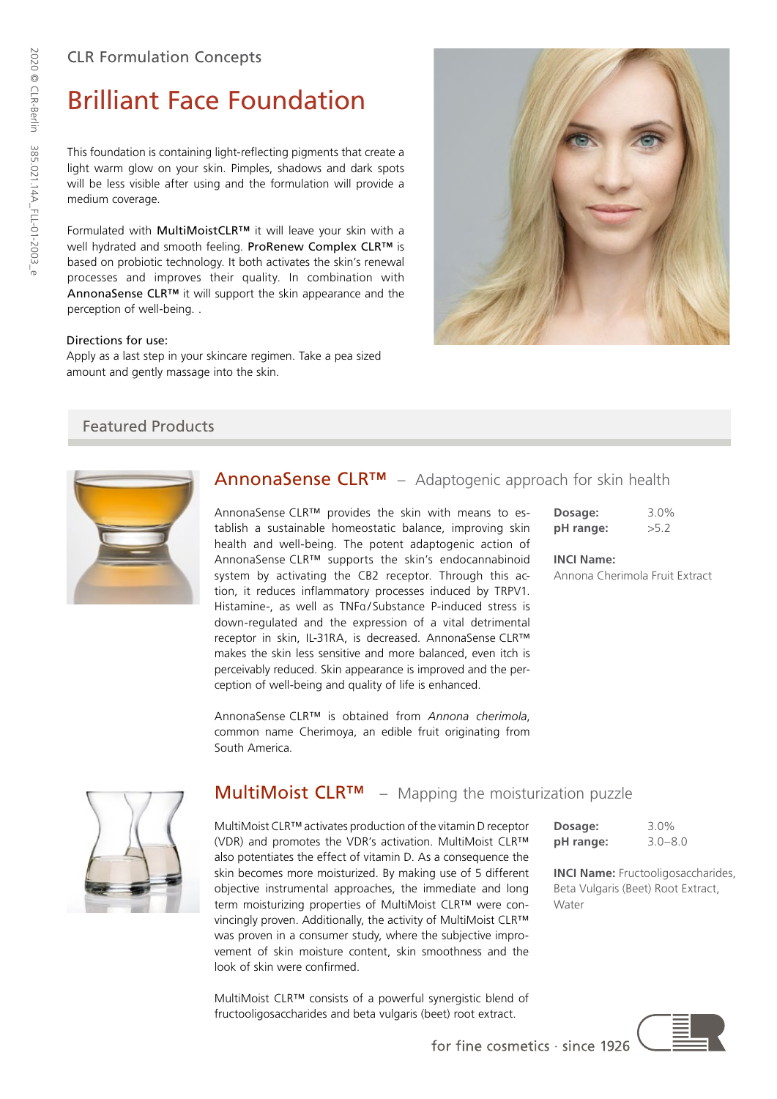# Brilliant Face Foundation

This foundation is containing light-reflecting pigments that create a light warm glow on your skin. Pimples, shadows and dark spots will be less visible after using and the formulation will provide a medium coverage.

Formulated with MultiMoistCLR™ it will leave your skin with a well hydrated and smooth feeling. ProRenew Complex CLR™ is based on probiotic technology. It both activates the skin's renewal processes and improves their quality. In combination with AnnonaSense CLR™ it will support the skin appearance and the perception of well-being. .

#### Directions for use:

Apply as a last step in your skincare regimen. Take a pea sized amount and gently massage into the skin.

## Featured Products



# AnnonaSense CLR™ – Adaptogenic approach for skin health

AnnonaSense CLR™ provides the skin with means to establish a sustainable homeostatic balance, improving skin health and well-being. The potent adaptogenic action of AnnonaSense CLR™ supports the skin's endocannabinoid system by activating the CB2 receptor. Through this action, it reduces inflammatory processes induced by TRPV1. Histamine-, as well as TNFa/Substance P-induced stress is down-regulated and the expression of a vital detrimental receptor in skin, IL-31RA, is decreased. AnnonaSense CLR™ makes the skin less sensitive and more balanced, even itch is perceivably reduced. Skin appearance is improved and the perception of well-being and quality of life is enhanced.

**Dosage:** 3.0% **pH range:** >5.2

**INCI Name:** Annona Cherimola Fruit Extract



AnnonaSense CLR™ is obtained from *Annona cherimola*,



## $MultiMoist \, CLR^{TM}$  – Mapping the moisturization puzzle

MultiMoist CLR™ activates production of the vitamin D receptor (VDR) and promotes the VDR's activation. MultiMoist CLR™ also potentiates the effect of vitamin D. As a consequence the skin becomes more moisturized. By making use of 5 different objective instrumental approaches, the immediate and long term moisturizing properties of MultiMoist CLR™ were convincingly proven. Additionally, the activity of MultiMoist CLR™ was proven in a consumer study, where the subjective improvement of skin moisture content, skin smoothness and the look of skin were confirmed.

MultiMoist CLR™ consists of a powerful synergistic blend of fructooligosaccharides and beta vulgaris (beet) root extract.

| Dosage:   | $3.0\%$     |
|-----------|-------------|
| pH range: | $3.0 - 8.0$ |

**INCI Name:** Fructooligosaccharides, Beta Vulgaris (Beet) Root Extract, Water